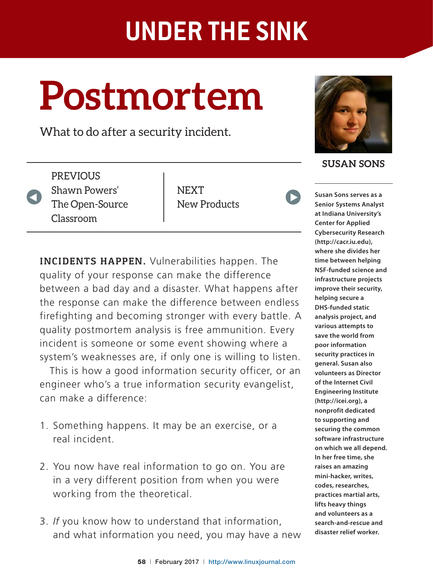# **Postmortem**

What to do after a security incident.

**PREVIOUS** Shawn Powers' The Open-Source Classroom

V

NEXT New Products

**INCIDENTS HAPPEN.** Vulnerabilities happen. The quality of your response can make the difference between a bad day and a disaster. What happens after the response can make the difference between endless firefighting and becoming stronger with every battle. A quality postmortem analysis is free ammunition. Every incident is someone or some event showing where a system's weaknesses are, if only one is willing to listen.

This is how a good information security officer, or an engineer who's a true information security evangelist, can make a difference.

- 1. Something happens. It may be an exercise, or a real incident.
- 2. You now have real information to go on. You are in a very different position from when you were working from the theoretical.
- 3. If you know how to understand that information, and what information you need, you may have a new



**SUSAN SONS**

 $\blacktriangleright$ 

**Susan Sons serves as a Senior Systems Analyst at Indiana University's Center for Applied Cybersecurity Research (http://cacr.iu.edu), where she divides her time between helping NSF-funded science and infrastructure projects improve their security, helping secure a DHS-funded static analysis project, and various attempts to save the world from poor information security practices in general. Susan also volunteers as Director of the Internet Civil Engineering Institute (http://icei.org), a nonprofit dedicated to supporting and securing the common software infrastructure on which we all depend. In her free time, she raises an amazing mini-hacker, writes, codes, researches, practices martial arts, lifts heavy things and volunteers as a search-and-rescue and disaster relief worker.**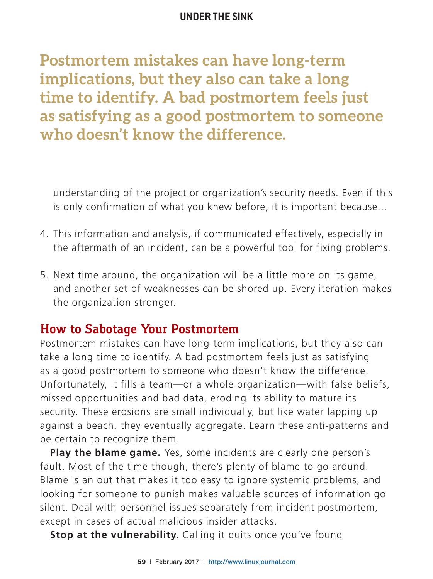**Postmortem mistakes can have long-term implications, but they also can take a long time to identify. A bad postmortem feels just as satisfying as a good postmortem to someone who doesn't know the difference.**

understanding of the project or organization's security needs. Even if this is only confirmation of what you knew before, it is important because...

- 4. This information and analysis, if communicated effectively, especially in the aftermath of an incident, can be a powerful tool for fixing problems.
- 5. Next time around, the organization will be a little more on its game, and another set of weaknesses can be shored up. Every iteration makes the organization stronger.

# **How to Sabotage Your Postmortem**

Postmortem mistakes can have long-term implications, but they also can take a long time to identify. A bad postmortem feels just as satisfying as a good postmortem to someone who doesn't know the difference. Unfortunately, it fills a team-or a whole organization-with false beliefs, missed opportunities and bad data, eroding its ability to mature its security. These erosions are small individually, but like water lapping up against a beach, they eventually aggregate. Learn these anti-patterns and be certain to recognize them.

**Play the blame game.** Yes, some incidents are clearly one person's fault. Most of the time though, there's plenty of blame to go around. Blame is an out that makes it too easy to ignore systemic problems, and looking for someone to punish makes valuable sources of information go silent. Deal with personnel issues separately from incident postmortem, except in cases of actual malicious insider attacks.

**Stop at the vulnerability.** Calling it quits once you've found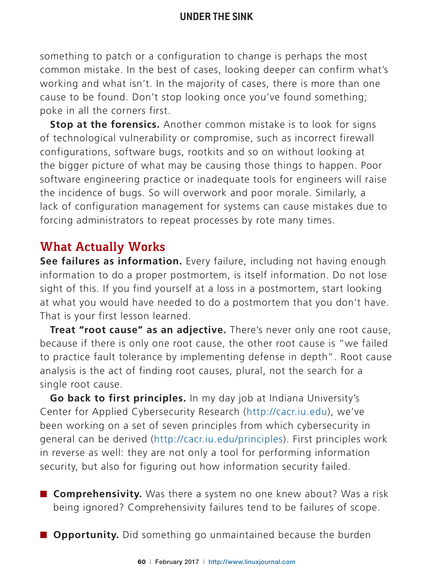something to patch or a configuration to change is perhaps the most common mistake. In the best of cases, looking deeper can confirm what's working and what isn't. In the majority of cases, there is more than one cause to be found. Don't stop looking once you've found something; poke in all the corners first.

**Stop at the forensics.** Another common mistake is to look for signs of technological vulnerability or compromise, such as incorrect firewall configurations, software bugs, rootkits and so on without looking at the bigger picture of what may be causing those things to happen. Poor software engineering practice or inadequate tools for engineers will raise the incidence of bugs. So will overwork and poor morale. Similarly, a lack of configuration management for systems can cause mistakes due to forcing administrators to repeat processes by rote many times.

# **What Actually Works**

See failures as information. Every failure, including not having enough information to do a proper postmortem, is itself information. Do not lose sight of this. If you find yourself at a loss in a postmortem, start looking at what you would have needed to do a postmortem that you don't have. That is your first lesson learned.

**Treat "root cause" as an adjective.** There's never only one root cause, because if there is only one root cause, the other root cause is "we failed to practice fault tolerance by implementing defense in depth". Root cause analysis is the act of finding root causes, plural, not the search for a single root cause.

**Go back to first principles.** In my day job at Indiana University's Center for Applied Cybersecurity Research (http://cacr.iu.edu), we've been working on a set of seven principles from which cybersecurity in general can be derived (http://cacr.iu.edu/principles). First principles work in reverse as well: they are not only a tool for performing information security, but also for figuring out how information security failed.

- **Comprehensivity.** Was there a system no one knew about? Was a risk being ignored? Comprehensivity failures tend to be failures of scope.
- $\Box$  **Opportunity.** Did something go unmaintained because the burden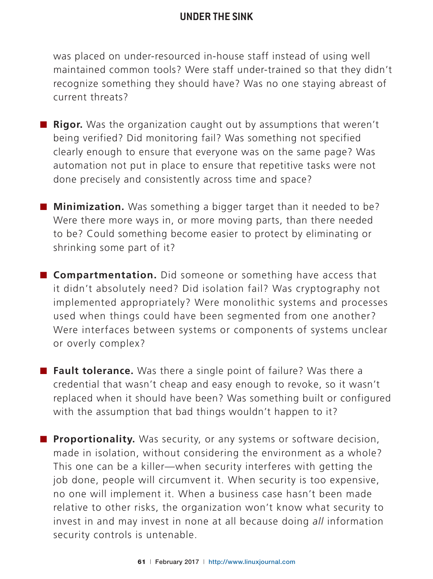was placed on under-resourced in-house staff instead of using well maintained common tools? Were staff under-trained so that they didn't recognize something they should have? Was no one staying abreast of current threats?

- **Rigor.** Was the organization caught out by assumptions that weren't being verified? Did monitoring fail? Was something not specified clearly enough to ensure that everyone was on the same page? Was automation not put in place to ensure that repetitive tasks were not done precisely and consistently across time and space?
- **Minimization.** Was something a bigger target than it needed to be? Were there more ways in, or more moving parts, than there needed to be? Could something become easier to protect by eliminating or shrinking some part of it?
- **Compartmentation.** Did someone or something have access that it didn't absolutely need? Did isolation fail? Was cryptography not implemented appropriately? Were monolithic systems and processes used when things could have been segmented from one another? Were interfaces between systems or components of systems unclear or overly complex?
- **Fault tolerance.** Was there a single point of failure? Was there a credential that wasn't cheap and easy enough to revoke, so it wasn't replaced when it should have been? Was something built or configured with the assumption that bad things wouldn't happen to it?
- **Proportionality.** Was security, or any systems or software decision, made in isolation, without considering the environment as a whole? This one can be a killer—when security interferes with getting the job done, people will circumvent it. When security is too expensive, no one will implement it. When a business case hasn't been made relative to other risks, the organization won't know what security to invest in and may invest in none at all because doing all information security controls is untenable.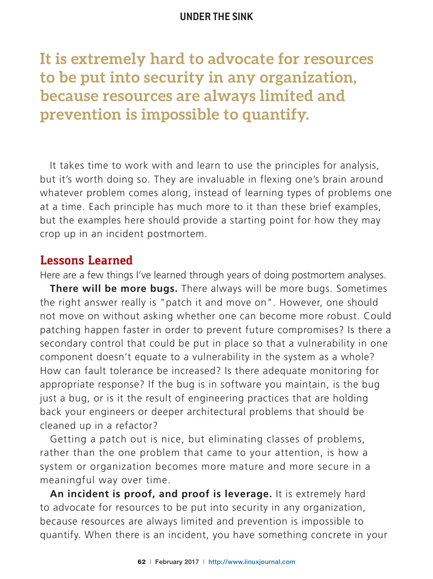**It is extremely hard to advocate for resources to be put into security in any organization, because resources are always limited and prevention is impossible to quantify.**

It takes time to work with and learn to use the principles for analysis, but it's worth doing so. They are invaluable in flexing one's brain around whatever problem comes along, instead of learning types of problems one at a time. Each principle has much more to it than these brief examples, but the examples here should provide a starting point for how they may crop up in an incident postmortem.

## **Lessons Learned**

Here are a few things I've learned through years of doing postmortem analyses.

**There will be more bugs.** There always will be more bugs. Sometimes the right answer really is "patch it and move on". However, one should not move on without asking whether one can become more robust. Could patching happen faster in order to prevent future compromises? Is there a secondary control that could be put in place so that a vulnerability in one component doesn't equate to a vulnerability in the system as a whole? How can fault tolerance be increased? Is there adequate monitoring for appropriate response? If the bug is in software you maintain, is the bug just a bug, or is it the result of engineering practices that are holding back your engineers or deeper architectural problems that should be cleaned up in a refactor?

Getting a patch out is nice, but eliminating classes of problems, rather than the one problem that came to your attention, is how a system or organization becomes more mature and more secure in a meaningful way over time.

**An incident is proof, and proof is leverage.** It is extremely hard to advocate for resources to be put into security in any organization, because resources are always limited and prevention is impossible to quantify. When there is an incident, you have something concrete in your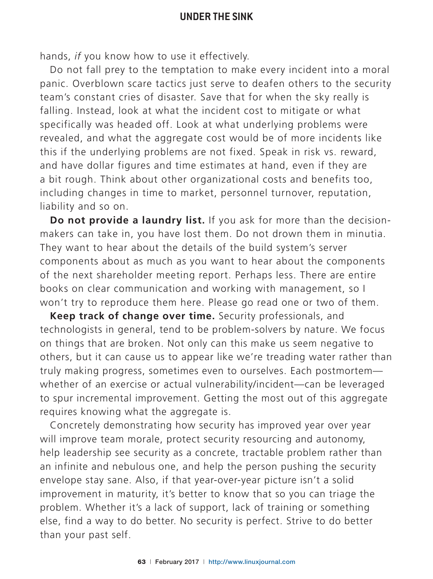hands, *if* you know how to use it effectively.

Do not fall prey to the temptation to make every incident into a moral panic. Overblown scare tactics just serve to deafen others to the security team's constant cries of disaster. Save that for when the sky really is falling. Instead, look at what the incident cost to mitigate or what specifically was headed off. Look at what underlying problems were revealed, and what the aggregate cost would be of more incidents like this if the underlying problems are not fixed. Speak in risk vs. reward, and have dollar figures and time estimates at hand, even if they are a bit rough. Think about other organizational costs and benefits too, including changes in time to market, personnel turnover, reputation, liability and so on.

**Do not provide a laundry list.** If you ask for more than the decisionmakers can take in, you have lost them. Do not drown them in minutia. They want to hear about the details of the build system's server components about as much as you want to hear about the components of the next shareholder meeting report. Perhaps less. There are entire books on clear communication and working with management, so I won't try to reproduce them here. Please go read one or two of them.

**Keep track of change over time.** Security professionals, and technologists in general, tend to be problem-solvers by nature. We focus on things that are broken. Not only can this make us seem negative to others, but it can cause us to appear like we're treading water rather than truly making progress, sometimes even to ourselves. Each postmortemwhether of an exercise or actual vulnerability/incident—can be leveraged to spur incremental improvement. Getting the most out of this aggregate requires knowing what the aggregate is.

Concretely demonstrating how security has improved year over year will improve team morale, protect security resourcing and autonomy, help leadership see security as a concrete, tractable problem rather than an infinite and nebulous one, and help the person pushing the security envelope stay sane. Also, if that year-over-year picture isn't a solid improvement in maturity, it's better to know that so you can triage the problem. Whether it's a lack of support, lack of training or something else, find a way to do better. No security is perfect. Strive to do better than your past self.